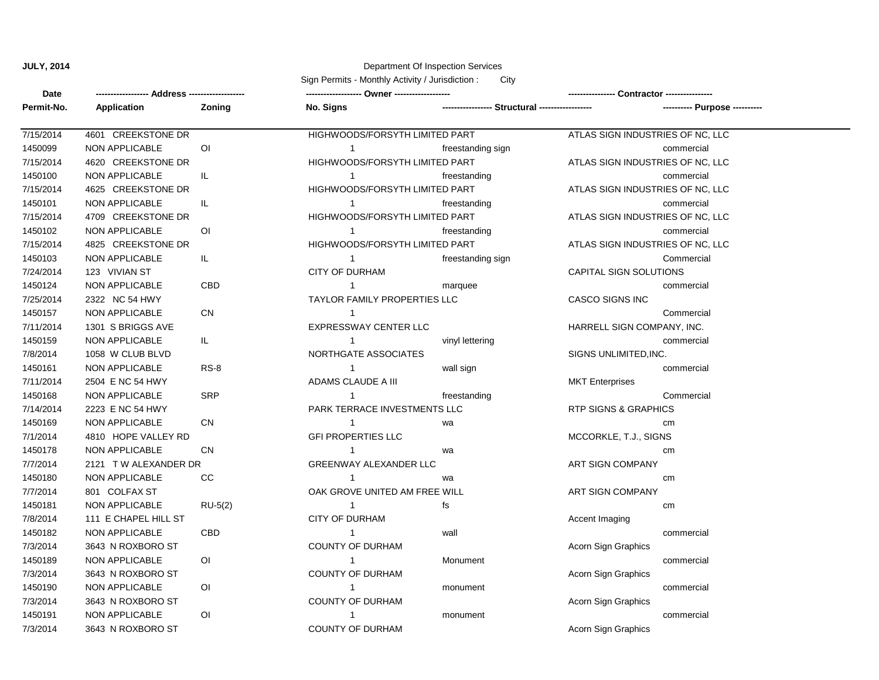## **JULY, 2014** Department Of Inspection Services

Sign Permits - Monthly Activity / Jurisdiction : City

| Date       |                       |                |                                |                                                 |                                  |            |  |
|------------|-----------------------|----------------|--------------------------------|-------------------------------------------------|----------------------------------|------------|--|
| Permit-No. | Application           | Zoning         | No. Signs                      | ----------------- Structural ------------------ |                                  |            |  |
| 7/15/2014  | 4601 CREEKSTONE DR    |                | HIGHWOODS/FORSYTH LIMITED PART |                                                 | ATLAS SIGN INDUSTRIES OF NC, LLC |            |  |
| 1450099    | <b>NON APPLICABLE</b> | $\overline{O}$ | -1                             | freestanding sign                               |                                  | commercial |  |
| 7/15/2014  | 4620 CREEKSTONE DR    |                | HIGHWOODS/FORSYTH LIMITED PART |                                                 | ATLAS SIGN INDUSTRIES OF NC, LLC |            |  |
| 1450100    | NON APPLICABLE        | IL             | $\mathbf{1}$                   | freestanding                                    |                                  | commercial |  |
| 7/15/2014  | 4625 CREEKSTONE DR    |                | HIGHWOODS/FORSYTH LIMITED PART |                                                 | ATLAS SIGN INDUSTRIES OF NC, LLC |            |  |
| 1450101    | NON APPLICABLE        | IL             | $\mathbf{1}$                   | freestanding                                    |                                  | commercial |  |
| 7/15/2014  | 4709 CREEKSTONE DR    |                | HIGHWOODS/FORSYTH LIMITED PART |                                                 | ATLAS SIGN INDUSTRIES OF NC, LLC |            |  |
| 1450102    | NON APPLICABLE        | O <sub>1</sub> | $\mathbf{1}$                   | freestanding                                    |                                  | commercial |  |
| 7/15/2014  | 4825 CREEKSTONE DR    |                | HIGHWOODS/FORSYTH LIMITED PART |                                                 | ATLAS SIGN INDUSTRIES OF NC, LLC |            |  |
| 1450103    | NON APPLICABLE        | IL.            | $\mathbf{1}$                   | freestanding sign                               |                                  | Commercial |  |
| 7/24/2014  | 123 VIVIAN ST         |                | <b>CITY OF DURHAM</b>          |                                                 | CAPITAL SIGN SOLUTIONS           |            |  |
| 1450124    | NON APPLICABLE        | <b>CBD</b>     | $\mathbf{1}$                   | marquee                                         |                                  | commercial |  |
| 7/25/2014  | 2322 NC 54 HWY        |                | TAYLOR FAMILY PROPERTIES LLC   |                                                 | CASCO SIGNS INC                  |            |  |
| 1450157    | NON APPLICABLE        | CN             | $\overline{1}$                 |                                                 |                                  | Commercial |  |
| 7/11/2014  | 1301 S BRIGGS AVE     |                | EXPRESSWAY CENTER LLC          |                                                 | HARRELL SIGN COMPANY, INC.       |            |  |
| 1450159    | NON APPLICABLE        | IL.            | $\mathbf{1}$                   | vinyl lettering                                 |                                  | commercial |  |
| 7/8/2014   | 1058 W CLUB BLVD      |                | <b>NORTHGATE ASSOCIATES</b>    |                                                 | SIGNS UNLIMITED, INC.            |            |  |
| 1450161    | <b>NON APPLICABLE</b> | $RS-8$         | -1                             | wall sign                                       |                                  | commercial |  |
| 7/11/2014  | 2504 E NC 54 HWY      |                | ADAMS CLAUDE A III             |                                                 | <b>MKT</b> Enterprises           |            |  |
| 1450168    | NON APPLICABLE        | <b>SRP</b>     | -1                             | freestanding                                    |                                  | Commercial |  |
| 7/14/2014  | 2223 E NC 54 HWY      |                | PARK TERRACE INVESTMENTS LLC   |                                                 | <b>RTP SIGNS &amp; GRAPHICS</b>  |            |  |
| 1450169    | NON APPLICABLE        | <b>CN</b>      | $\mathbf{1}$                   | wa                                              |                                  | cm         |  |
| 7/1/2014   | 4810 HOPE VALLEY RD   |                | <b>GFI PROPERTIES LLC</b>      |                                                 | MCCORKLE, T.J., SIGNS            |            |  |
| 1450178    | <b>NON APPLICABLE</b> | <b>CN</b>      | $\mathbf{1}$                   | wa                                              |                                  | cm         |  |
| 7/7/2014   | 2121 TW ALEXANDER DR  |                | <b>GREENWAY ALEXANDER LLC</b>  |                                                 | ART SIGN COMPANY                 |            |  |
| 1450180    | <b>NON APPLICABLE</b> | CС             |                                | wa                                              |                                  | cm         |  |
| 7/7/2014   | 801 COLFAX ST         |                | OAK GROVE UNITED AM FREE WILL  |                                                 | ART SIGN COMPANY                 |            |  |
| 1450181    | <b>NON APPLICABLE</b> | $RU-5(2)$      | $\mathbf 1$                    | fs                                              |                                  | cm         |  |
| 7/8/2014   | 111 E CHAPEL HILL ST  |                | <b>CITY OF DURHAM</b>          |                                                 | Accent Imaging                   |            |  |
| 1450182    | <b>NON APPLICABLE</b> | CBD            | $\mathbf{1}$                   | wall                                            |                                  | commercial |  |
| 7/3/2014   | 3643 N ROXBORO ST     |                | COUNTY OF DURHAM               |                                                 | <b>Acorn Sign Graphics</b>       |            |  |
| 1450189    | <b>NON APPLICABLE</b> | 0I             | $\mathbf{1}$                   | Monument                                        |                                  | commercial |  |
| 7/3/2014   | 3643 N ROXBORO ST     |                | <b>COUNTY OF DURHAM</b>        |                                                 | Acorn Sign Graphics              |            |  |
| 1450190    | <b>NON APPLICABLE</b> | O <sub>l</sub> | $\mathbf{1}$                   | monument                                        |                                  | commercial |  |
| 7/3/2014   | 3643 N ROXBORO ST     |                | <b>COUNTY OF DURHAM</b>        |                                                 | Acorn Sign Graphics              |            |  |
| 1450191    | NON APPLICABLE        | O <sub>1</sub> | $\mathbf{1}$                   | monument                                        |                                  | commercial |  |
| 7/3/2014   | 3643 N ROXBORO ST     |                | <b>COUNTY OF DURHAM</b>        |                                                 | Acorn Sign Graphics              |            |  |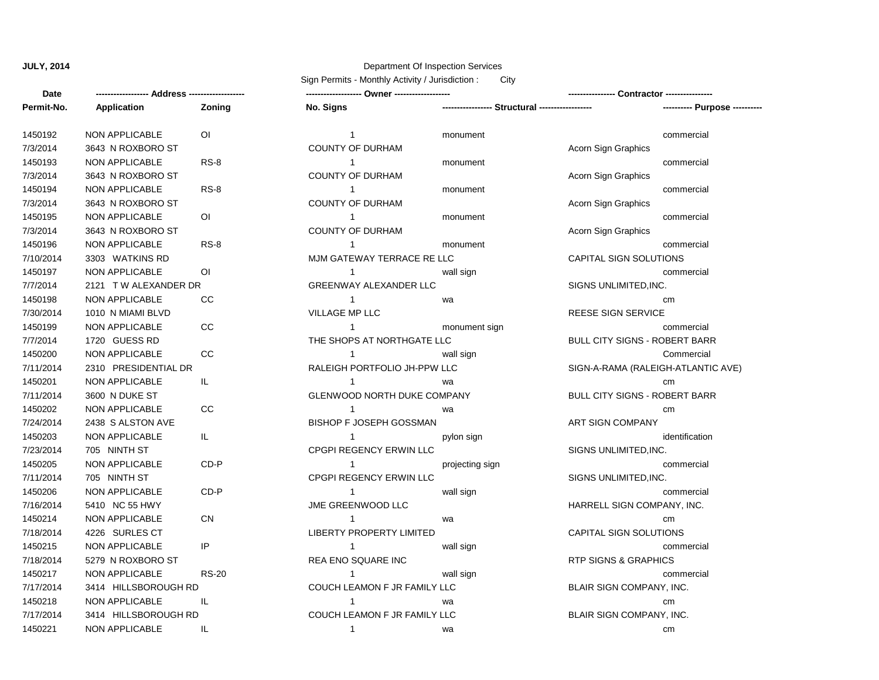## **Date Zoning ------------------ Address ------------------- ------------------- Owner ------------------- ---------------- Contractor ---------------- Permit-No. Application No. Signs ----------------- Structural ------------------ ---------- Purpose ----------**

**JULY, 2014** Department Of Inspection Services

Sign Permits - Monthly Activity / Jurisdiction : City

1 1 1 1 1 1 1 1 1 1 1 1 1 1 1 1 1 1 1 1450192 NON APPLICABLE OI COMPOSED 1 1 monument commercial 7/3/2014 3643 N ROXBORO ST COUNTY OF DURHAM COUNTY OF DURHAM Acorn Sign Graphics 1450193 NON APPLICABLE RS-8 and the state of the monument commercial commercial 7/3/2014 3643 N ROXBORO ST COUNTY OF DURHAM COUNTER STATES ACORN Sign Graphics 1450194 NON APPLICABLE RS-8 and the state of the monument commercial commercial 7/3/2014 3643 N ROXBORO ST COUNTY OF DURHAM COUNTY OF DURHAM Acorn Sign Graphics 1450195 NON APPLICABLE OI CHEET ON THE STATE OF THE COMMERCIAL COMMERCIAL COMMERCIAL COMMERCIAL COMMERCIAL COMMERCIAL 7/3/2014 3643 N ROXBORO ST COUNTY OF DURHAM COUNTER SERVICES Acorn Sign Graphics 1450196 NON APPLICABLE RS-8 monument commercial commercial 7/10/2014 3303 WATKINS RD MJM GATEWAY TERRACE RE LLC CAPITAL SIGN SOLUTIONS 1450197 NON APPLICABLE OI wall sign commercial 7/7/2014 2121 T W ALEXANDER DR GREENWAY ALEXANDER LLC SIGNS UNLIMITED,INC. 1450198 NON APPLICABLE CC wa cm 7/30/2014 1010 N MIAMI BLVD VILLAGE MP LLC REESE SIGN SERVICE 1450199 NON APPLICABLE CC COUNTER THE STATE OF THE MONUMENT SIGN COMMETERS OF THE STATE OF THE STATE OF THE ST 7/7/2014 1720 GUESS RD THE SHOPS AT NORTHGATE LLC BULL CITY SIGNS - ROBERT BARR 1450200 NON APPLICABLE CC COUNTER THE SERVICE OF SALE SERVICE SERVICE SERVICE SERVICE SERVICE SERVICE SERVICE 7/11/2014 2310 PRESIDENTIAL DR RALEIGH PORTFOLIO JH-PPW LLC SIGN-A-RAMA (RALEIGH-ATLANTIC AVE) 1450201 NON APPLICABLE IL wa cm 7/11/2014 3600 N DUKE ST GLENWOOD NORTH DUKE COMPANY BULL CITY SIGNS - ROBERT BARR 1450202 NON APPLICABLE CC wa cm 7/24/2014 2438 S ALSTON AVE BISHOP F JOSEPH GOSSMAN ART SIGN COMPANY 1450203 NON APPLICABLE IL **IL pylon sign and alternative and alternative** identification 7/23/2014 705 NINTH ST CPGPI REGENCY ERWIN LLC SIGNS UNLIMITED,INC. 1450205 NON APPLICABLE CD-P projecting sign commercial 7/11/2014 705 NINTH ST CPGPI REGENCY ERWIN LLC SIGNS UNLIMITED,INC. 1450206 NON APPLICABLE CD-P wall sign commercial 7/16/2014 5410 NC 55 HWY JME GREENWOOD LLC HARRELL SIGN COMPANY, INC. 1450214 NON APPLICABLE CN wa cm 7/18/2014 4226 SURLES CT LIBERTY PROPERTY LIMITED CAPITAL SIGN SOLUTIONS 1450215 NON APPLICABLE IP wall sign commercial 7/18/2014 5279 N ROXBORO ST REA ENO SQUARE INC RTP SIGNS & GRAPHICS 1450217 NON APPLICABLE RS-20 wall sign commercial 7/17/2014 3414 HILLSBOROUGH RD COUCH LEAMON F JR FAMILY LLC BLAIR SIGN COMPANY, INC. 1450218 NON APPLICABLE IL wa cm 7/17/2014 3414 HILLSBOROUGH RD COUCH LEAMON F JR FAMILY LLC BLAIR SIGN COMPANY, INC. 1450221 NON APPLICABLE IL the service of the service of the service of the service of the service of the service of the service of the service of the service of the service of the service of the service of the service of t